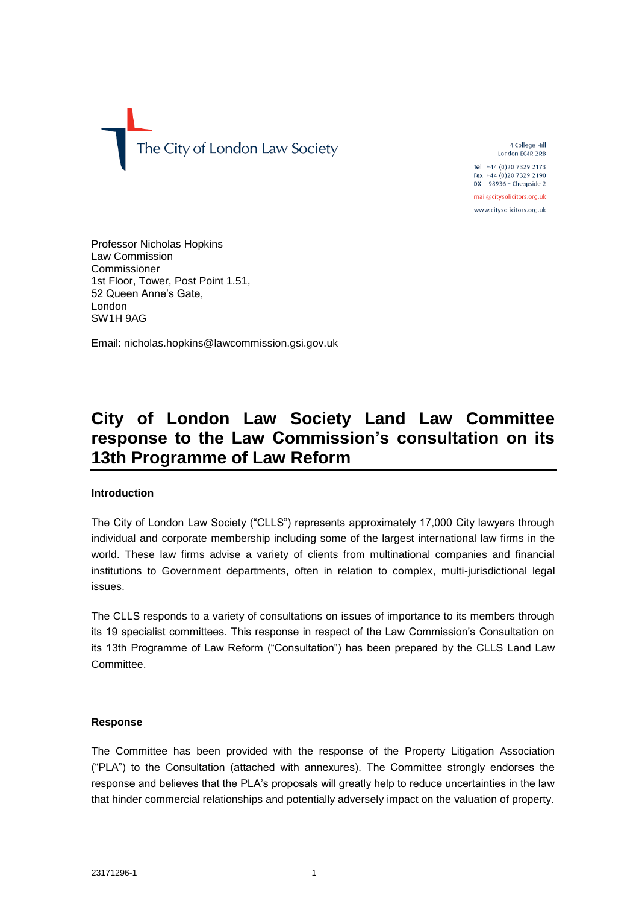The City of London Law Society

4 College Hill London EC4R 2RB

Tel +44 (0)20 7329 2173 Fax +44 (0)20 7329 2190 DX  $98936 -$  Cheapside 2

mail@citysolicitors.org.uk www.citysolicitors.org.uk

Professor Nicholas Hopkins Law Commission Commissioner 1st Floor, Tower, Post Point 1.51, 52 Queen Anne's Gate, London SW1H 9AG

Email: nicholas.hopkins@lawcommission.gsi.gov.uk

# **City of London Law Society Land Law Committee response to the Law Commission's consultation on its 13th Programme of Law Reform**

# **Introduction**

The City of London Law Society ("CLLS") represents approximately 17,000 City lawyers through individual and corporate membership including some of the largest international law firms in the world. These law firms advise a variety of clients from multinational companies and financial institutions to Government departments, often in relation to complex, multi-jurisdictional legal issues.

The CLLS responds to a variety of consultations on issues of importance to its members through its 19 specialist committees. This response in respect of the Law Commission's Consultation on its 13th Programme of Law Reform ("Consultation") has been prepared by the CLLS Land Law Committee.

# **Response**

The Committee has been provided with the response of the Property Litigation Association ("PLA") to the Consultation (attached with annexures). The Committee strongly endorses the response and believes that the PLA's proposals will greatly help to reduce uncertainties in the law that hinder commercial relationships and potentially adversely impact on the valuation of property.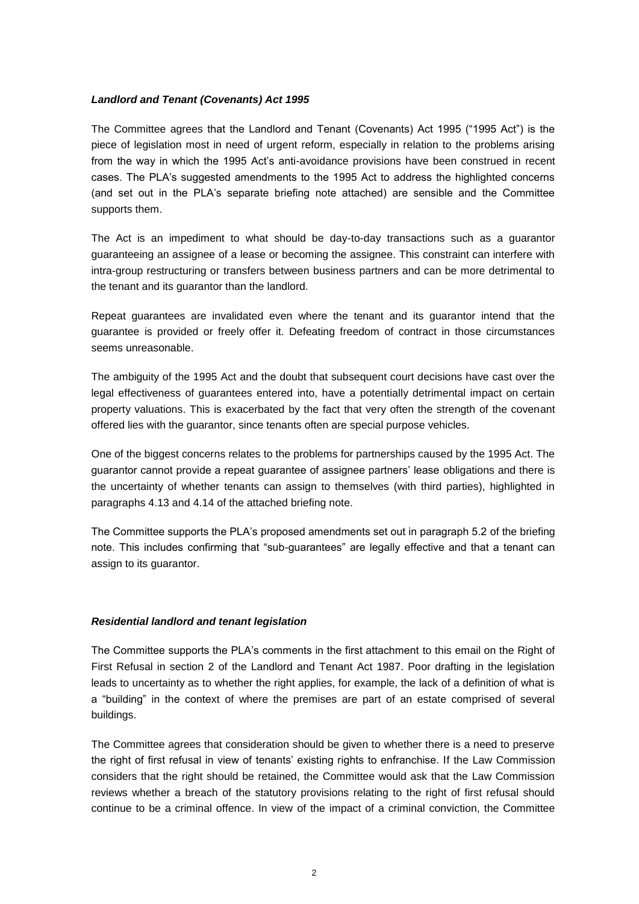### *Landlord and Tenant (Covenants) Act 1995*

The Committee agrees that the Landlord and Tenant (Covenants) Act 1995 ("1995 Act") is the piece of legislation most in need of urgent reform, especially in relation to the problems arising from the way in which the 1995 Act's anti-avoidance provisions have been construed in recent cases. The PLA's suggested amendments to the 1995 Act to address the highlighted concerns (and set out in the PLA's separate briefing note attached) are sensible and the Committee supports them.

The Act is an impediment to what should be day-to-day transactions such as a guarantor guaranteeing an assignee of a lease or becoming the assignee. This constraint can interfere with intra-group restructuring or transfers between business partners and can be more detrimental to the tenant and its guarantor than the landlord.

Repeat guarantees are invalidated even where the tenant and its guarantor intend that the guarantee is provided or freely offer it. Defeating freedom of contract in those circumstances seems unreasonable.

The ambiguity of the 1995 Act and the doubt that subsequent court decisions have cast over the legal effectiveness of guarantees entered into, have a potentially detrimental impact on certain property valuations. This is exacerbated by the fact that very often the strength of the covenant offered lies with the guarantor, since tenants often are special purpose vehicles.

One of the biggest concerns relates to the problems for partnerships caused by the 1995 Act. The guarantor cannot provide a repeat guarantee of assignee partners' lease obligations and there is the uncertainty of whether tenants can assign to themselves (with third parties), highlighted in paragraphs 4.13 and 4.14 of the attached briefing note.

The Committee supports the PLA's proposed amendments set out in paragraph 5.2 of the briefing note. This includes confirming that "sub-guarantees" are legally effective and that a tenant can assign to its guarantor.

### *Residential landlord and tenant legislation*

The Committee supports the PLA's comments in the first attachment to this email on the Right of First Refusal in section 2 of the Landlord and Tenant Act 1987. Poor drafting in the legislation leads to uncertainty as to whether the right applies, for example, the lack of a definition of what is a "building" in the context of where the premises are part of an estate comprised of several buildings.

The Committee agrees that consideration should be given to whether there is a need to preserve the right of first refusal in view of tenants' existing rights to enfranchise. If the Law Commission considers that the right should be retained, the Committee would ask that the Law Commission reviews whether a breach of the statutory provisions relating to the right of first refusal should continue to be a criminal offence. In view of the impact of a criminal conviction, the Committee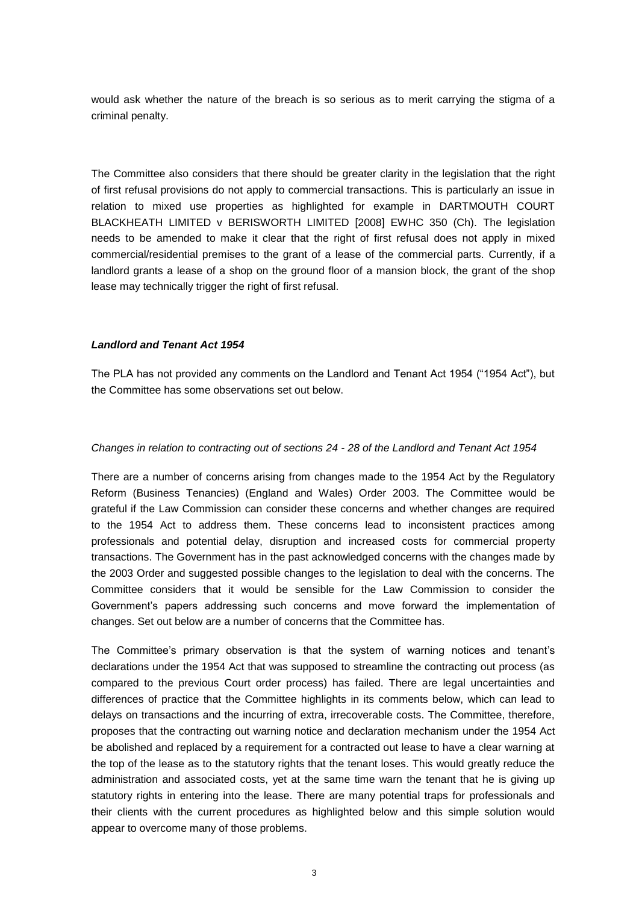would ask whether the nature of the breach is so serious as to merit carrying the stigma of a criminal penalty.

The Committee also considers that there should be greater clarity in the legislation that the right of first refusal provisions do not apply to commercial transactions. This is particularly an issue in relation to mixed use properties as highlighted for example in DARTMOUTH COURT BLACKHEATH LIMITED v BERISWORTH LIMITED [2008] EWHC 350 (Ch). The legislation needs to be amended to make it clear that the right of first refusal does not apply in mixed commercial/residential premises to the grant of a lease of the commercial parts. Currently, if a landlord grants a lease of a shop on the ground floor of a mansion block, the grant of the shop lease may technically trigger the right of first refusal.

### *Landlord and Tenant Act 1954*

The PLA has not provided any comments on the Landlord and Tenant Act 1954 ("1954 Act"), but the Committee has some observations set out below.

### *Changes in relation to contracting out of sections 24 - 28 of the Landlord and Tenant Act 1954*

There are a number of concerns arising from changes made to the 1954 Act by the Regulatory Reform (Business Tenancies) (England and Wales) Order 2003. The Committee would be grateful if the Law Commission can consider these concerns and whether changes are required to the 1954 Act to address them. These concerns lead to inconsistent practices among professionals and potential delay, disruption and increased costs for commercial property transactions. The Government has in the past acknowledged concerns with the changes made by the 2003 Order and suggested possible changes to the legislation to deal with the concerns. The Committee considers that it would be sensible for the Law Commission to consider the Government's papers addressing such concerns and move forward the implementation of changes. Set out below are a number of concerns that the Committee has.

The Committee's primary observation is that the system of warning notices and tenant's declarations under the 1954 Act that was supposed to streamline the contracting out process (as compared to the previous Court order process) has failed. There are legal uncertainties and differences of practice that the Committee highlights in its comments below, which can lead to delays on transactions and the incurring of extra, irrecoverable costs. The Committee, therefore, proposes that the contracting out warning notice and declaration mechanism under the 1954 Act be abolished and replaced by a requirement for a contracted out lease to have a clear warning at the top of the lease as to the statutory rights that the tenant loses. This would greatly reduce the administration and associated costs, yet at the same time warn the tenant that he is giving up statutory rights in entering into the lease. There are many potential traps for professionals and their clients with the current procedures as highlighted below and this simple solution would appear to overcome many of those problems.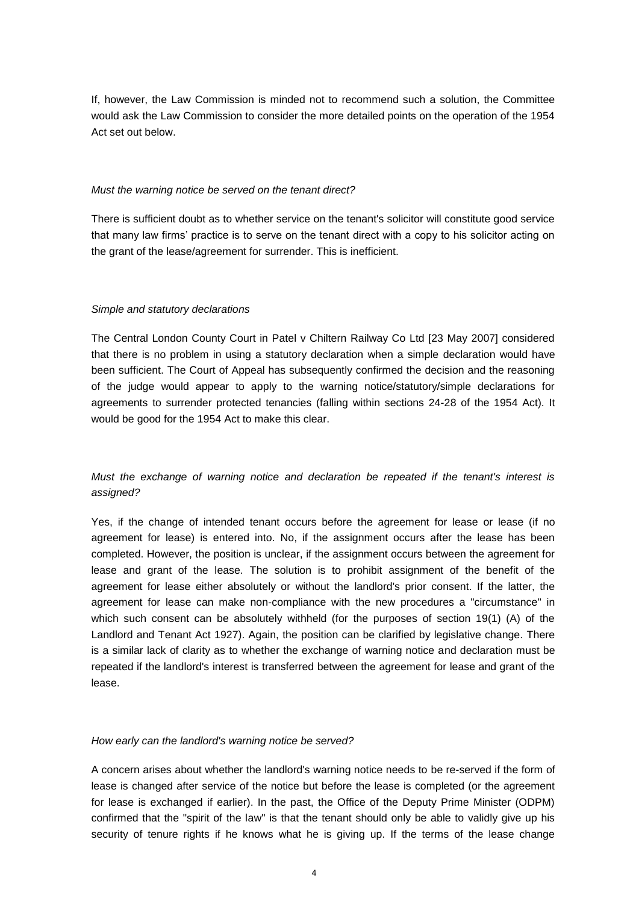If, however, the Law Commission is minded not to recommend such a solution, the Committee would ask the Law Commission to consider the more detailed points on the operation of the 1954 Act set out below.

### *Must the warning notice be served on the tenant direct?*

There is sufficient doubt as to whether service on the tenant's solicitor will constitute good service that many law firms' practice is to serve on the tenant direct with a copy to his solicitor acting on the grant of the lease/agreement for surrender. This is inefficient.

### *Simple and statutory declarations*

The Central London County Court in Patel v Chiltern Railway Co Ltd [23 May 2007] considered that there is no problem in using a statutory declaration when a simple declaration would have been sufficient. The Court of Appeal has subsequently confirmed the decision and the reasoning of the judge would appear to apply to the warning notice/statutory/simple declarations for agreements to surrender protected tenancies (falling within sections 24-28 of the 1954 Act). It would be good for the 1954 Act to make this clear.

# *Must the exchange of warning notice and declaration be repeated if the tenant's interest is assigned?*

Yes, if the change of intended tenant occurs before the agreement for lease or lease (if no agreement for lease) is entered into. No, if the assignment occurs after the lease has been completed. However, the position is unclear, if the assignment occurs between the agreement for lease and grant of the lease. The solution is to prohibit assignment of the benefit of the agreement for lease either absolutely or without the landlord's prior consent. If the latter, the agreement for lease can make non-compliance with the new procedures a "circumstance" in which such consent can be absolutely withheld (for the purposes of section 19(1) (A) of the Landlord and Tenant Act 1927). Again, the position can be clarified by legislative change. There is a similar lack of clarity as to whether the exchange of warning notice and declaration must be repeated if the landlord's interest is transferred between the agreement for lease and grant of the lease.

### *How early can the landlord's warning notice be served?*

A concern arises about whether the landlord's warning notice needs to be re-served if the form of lease is changed after service of the notice but before the lease is completed (or the agreement for lease is exchanged if earlier). In the past, the Office of the Deputy Prime Minister (ODPM) confirmed that the "spirit of the law" is that the tenant should only be able to validly give up his security of tenure rights if he knows what he is giving up. If the terms of the lease change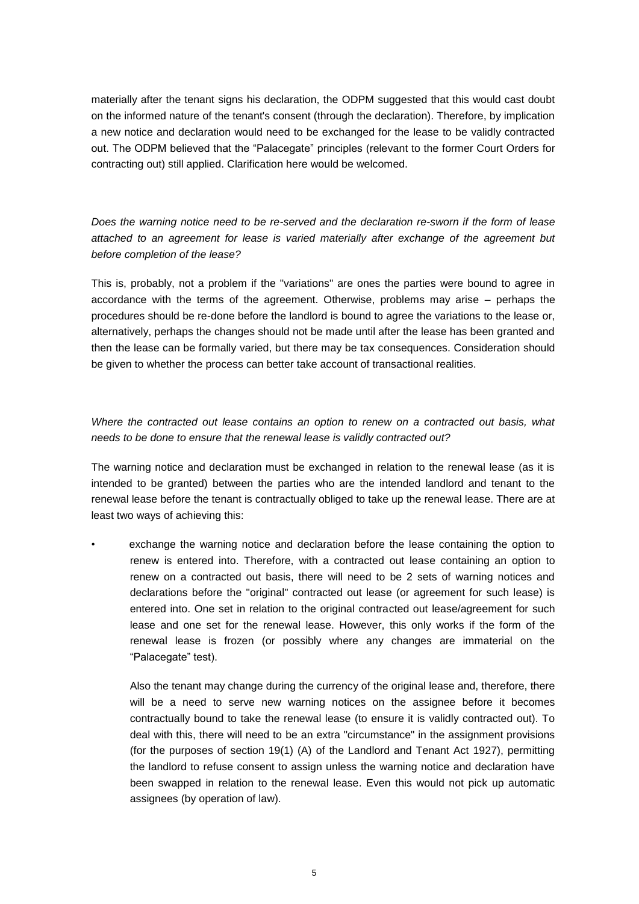materially after the tenant signs his declaration, the ODPM suggested that this would cast doubt on the informed nature of the tenant's consent (through the declaration). Therefore, by implication a new notice and declaration would need to be exchanged for the lease to be validly contracted out. The ODPM believed that the "Palacegate" principles (relevant to the former Court Orders for contracting out) still applied. Clarification here would be welcomed.

*Does the warning notice need to be re-served and the declaration re-sworn if the form of lease attached to an agreement for lease is varied materially after exchange of the agreement but before completion of the lease?*

This is, probably, not a problem if the "variations" are ones the parties were bound to agree in accordance with the terms of the agreement. Otherwise, problems may arise – perhaps the procedures should be re-done before the landlord is bound to agree the variations to the lease or, alternatively, perhaps the changes should not be made until after the lease has been granted and then the lease can be formally varied, but there may be tax consequences. Consideration should be given to whether the process can better take account of transactional realities.

# *Where the contracted out lease contains an option to renew on a contracted out basis, what needs to be done to ensure that the renewal lease is validly contracted out?*

The warning notice and declaration must be exchanged in relation to the renewal lease (as it is intended to be granted) between the parties who are the intended landlord and tenant to the renewal lease before the tenant is contractually obliged to take up the renewal lease. There are at least two ways of achieving this:

exchange the warning notice and declaration before the lease containing the option to renew is entered into. Therefore, with a contracted out lease containing an option to renew on a contracted out basis, there will need to be 2 sets of warning notices and declarations before the "original" contracted out lease (or agreement for such lease) is entered into. One set in relation to the original contracted out lease/agreement for such lease and one set for the renewal lease. However, this only works if the form of the renewal lease is frozen (or possibly where any changes are immaterial on the "Palacegate" test).

Also the tenant may change during the currency of the original lease and, therefore, there will be a need to serve new warning notices on the assignee before it becomes contractually bound to take the renewal lease (to ensure it is validly contracted out). To deal with this, there will need to be an extra "circumstance" in the assignment provisions (for the purposes of section 19(1) (A) of the Landlord and Tenant Act 1927), permitting the landlord to refuse consent to assign unless the warning notice and declaration have been swapped in relation to the renewal lease. Even this would not pick up automatic assignees (by operation of law).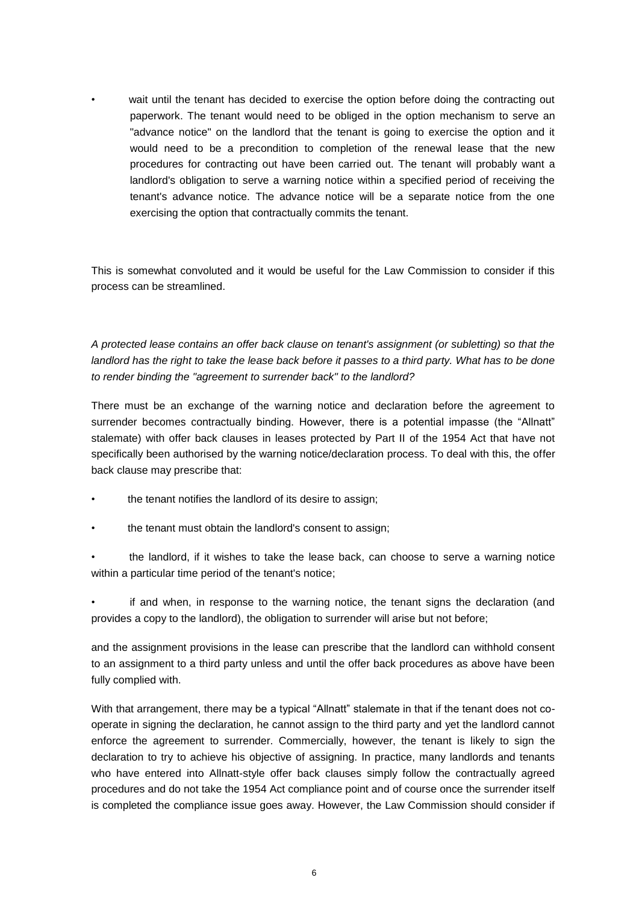wait until the tenant has decided to exercise the option before doing the contracting out paperwork. The tenant would need to be obliged in the option mechanism to serve an "advance notice" on the landlord that the tenant is going to exercise the option and it would need to be a precondition to completion of the renewal lease that the new procedures for contracting out have been carried out. The tenant will probably want a landlord's obligation to serve a warning notice within a specified period of receiving the tenant's advance notice. The advance notice will be a separate notice from the one exercising the option that contractually commits the tenant.

This is somewhat convoluted and it would be useful for the Law Commission to consider if this process can be streamlined.

*A protected lease contains an offer back clause on tenant's assignment (or subletting) so that the*  landlord has the right to take the lease back before it passes to a third party. What has to be done *to render binding the "agreement to surrender back" to the landlord?*

There must be an exchange of the warning notice and declaration before the agreement to surrender becomes contractually binding. However, there is a potential impasse (the "Allnatt" stalemate) with offer back clauses in leases protected by Part II of the 1954 Act that have not specifically been authorised by the warning notice/declaration process. To deal with this, the offer back clause may prescribe that:

- the tenant notifies the landlord of its desire to assign;
- the tenant must obtain the landlord's consent to assign;

• the landlord, if it wishes to take the lease back, can choose to serve a warning notice within a particular time period of the tenant's notice;

if and when, in response to the warning notice, the tenant signs the declaration (and provides a copy to the landlord), the obligation to surrender will arise but not before;

and the assignment provisions in the lease can prescribe that the landlord can withhold consent to an assignment to a third party unless and until the offer back procedures as above have been fully complied with.

With that arrangement, there may be a typical "Allnatt" stalemate in that if the tenant does not cooperate in signing the declaration, he cannot assign to the third party and yet the landlord cannot enforce the agreement to surrender. Commercially, however, the tenant is likely to sign the declaration to try to achieve his objective of assigning. In practice, many landlords and tenants who have entered into Allnatt-style offer back clauses simply follow the contractually agreed procedures and do not take the 1954 Act compliance point and of course once the surrender itself is completed the compliance issue goes away. However, the Law Commission should consider if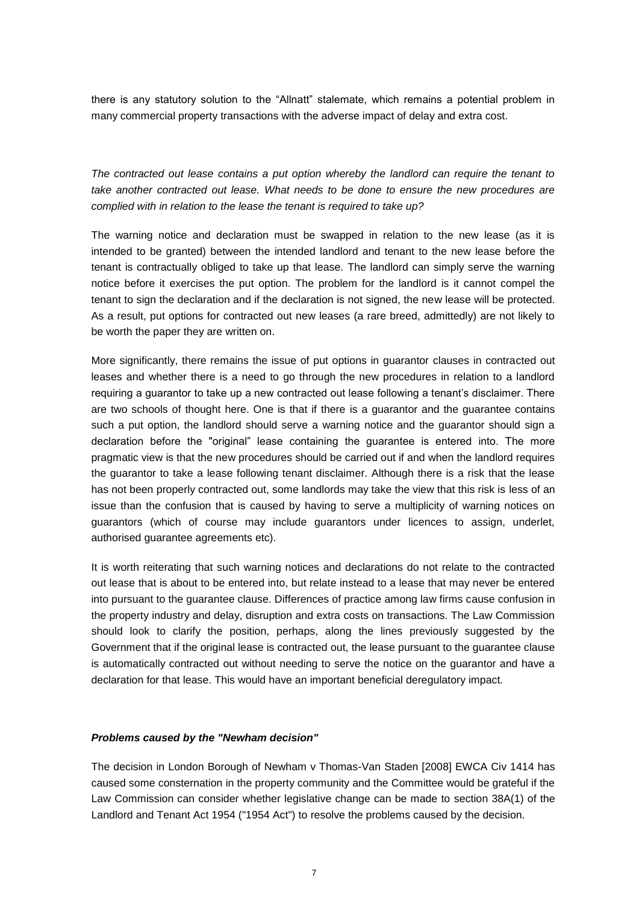there is any statutory solution to the "Allnatt" stalemate, which remains a potential problem in many commercial property transactions with the adverse impact of delay and extra cost.

*The contracted out lease contains a put option whereby the landlord can require the tenant to take another contracted out lease. What needs to be done to ensure the new procedures are complied with in relation to the lease the tenant is required to take up?*

The warning notice and declaration must be swapped in relation to the new lease (as it is intended to be granted) between the intended landlord and tenant to the new lease before the tenant is contractually obliged to take up that lease. The landlord can simply serve the warning notice before it exercises the put option. The problem for the landlord is it cannot compel the tenant to sign the declaration and if the declaration is not signed, the new lease will be protected. As a result, put options for contracted out new leases (a rare breed, admittedly) are not likely to be worth the paper they are written on.

More significantly, there remains the issue of put options in guarantor clauses in contracted out leases and whether there is a need to go through the new procedures in relation to a landlord requiring a guarantor to take up a new contracted out lease following a tenant's disclaimer. There are two schools of thought here. One is that if there is a guarantor and the guarantee contains such a put option, the landlord should serve a warning notice and the guarantor should sign a declaration before the "original" lease containing the guarantee is entered into. The more pragmatic view is that the new procedures should be carried out if and when the landlord requires the guarantor to take a lease following tenant disclaimer. Although there is a risk that the lease has not been properly contracted out, some landlords may take the view that this risk is less of an issue than the confusion that is caused by having to serve a multiplicity of warning notices on guarantors (which of course may include guarantors under licences to assign, underlet, authorised guarantee agreements etc).

It is worth reiterating that such warning notices and declarations do not relate to the contracted out lease that is about to be entered into, but relate instead to a lease that may never be entered into pursuant to the guarantee clause. Differences of practice among law firms cause confusion in the property industry and delay, disruption and extra costs on transactions. The Law Commission should look to clarify the position, perhaps, along the lines previously suggested by the Government that if the original lease is contracted out, the lease pursuant to the guarantee clause is automatically contracted out without needing to serve the notice on the guarantor and have a declaration for that lease. This would have an important beneficial deregulatory impact.

### *Problems caused by the "Newham decision"*

The decision in London Borough of Newham v Thomas-Van Staden [2008] EWCA Civ 1414 has caused some consternation in the property community and the Committee would be grateful if the Law Commission can consider whether legislative change can be made to section 38A(1) of the Landlord and Tenant Act 1954 ("1954 Act") to resolve the problems caused by the decision.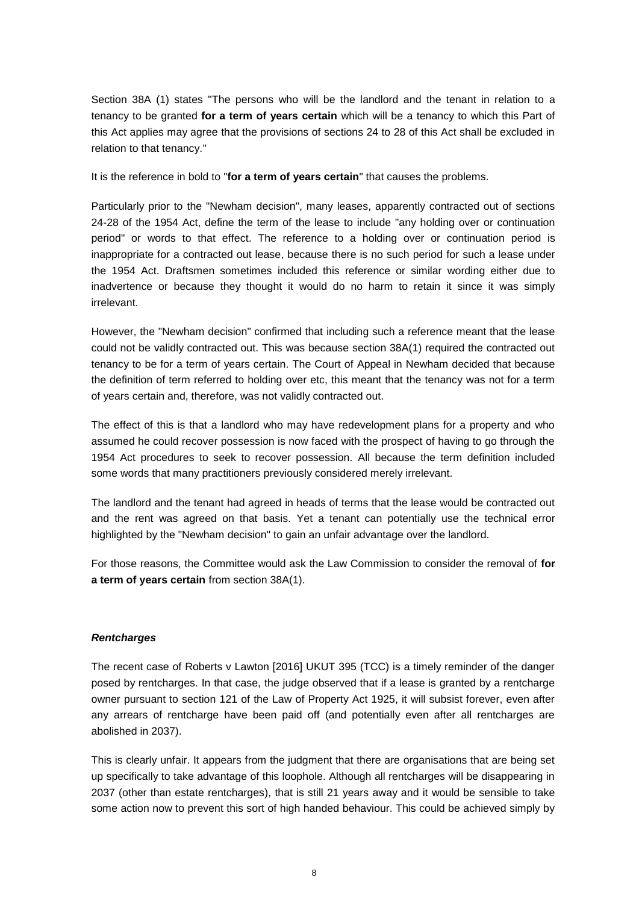Section 38A (1) states "The persons who will be the landlord and the tenant in relation to a tenancy to be granted **for a term of years certain** which will be a tenancy to which this Part of this Act applies may agree that the provisions of sections 24 to 28 of this Act shall be excluded in relation to that tenancy."

It is the reference in bold to "**for a term of years certain**" that causes the problems.

Particularly prior to the "Newham decision", many leases, apparently contracted out of sections 24-28 of the 1954 Act, define the term of the lease to include "any holding over or continuation period" or words to that effect. The reference to a holding over or continuation period is inappropriate for a contracted out lease, because there is no such period for such a lease under the 1954 Act. Draftsmen sometimes included this reference or similar wording either due to inadvertence or because they thought it would do no harm to retain it since it was simply irrelevant.

However, the "Newham decision" confirmed that including such a reference meant that the lease could not be validly contracted out. This was because section 38A(1) required the contracted out tenancy to be for a term of years certain. The Court of Appeal in Newham decided that because the definition of term referred to holding over etc, this meant that the tenancy was not for a term of years certain and, therefore, was not validly contracted out.

The effect of this is that a landlord who may have redevelopment plans for a property and who assumed he could recover possession is now faced with the prospect of having to go through the 1954 Act procedures to seek to recover possession. All because the term definition included some words that many practitioners previously considered merely irrelevant.

The landlord and the tenant had agreed in heads of terms that the lease would be contracted out and the rent was agreed on that basis. Yet a tenant can potentially use the technical error highlighted by the "Newham decision" to gain an unfair advantage over the landlord.

For those reasons, the Committee would ask the Law Commission to consider the removal of **for a term of years certain** from section 38A(1).

### *Rentcharges*

The recent case of Roberts v Lawton [2016] UKUT 395 (TCC) is a timely reminder of the danger posed by rentcharges. In that case, the judge observed that if a lease is granted by a rentcharge owner pursuant to section 121 of the Law of Property Act 1925, it will subsist forever, even after any arrears of rentcharge have been paid off (and potentially even after all rentcharges are abolished in 2037).

This is clearly unfair. It appears from the judgment that there are organisations that are being set up specifically to take advantage of this loophole. Although all rentcharges will be disappearing in 2037 (other than estate rentcharges), that is still 21 years away and it would be sensible to take some action now to prevent this sort of high handed behaviour. This could be achieved simply by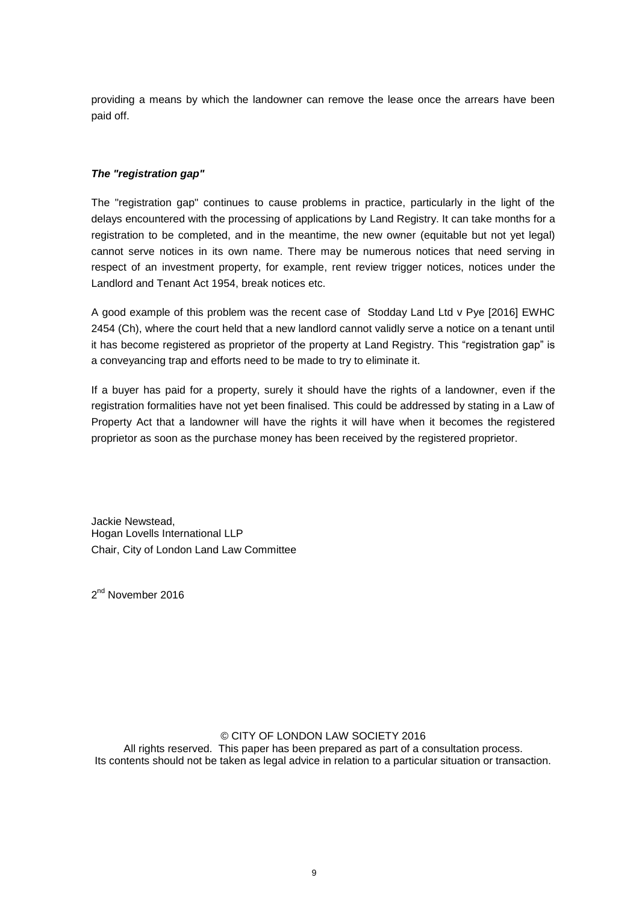providing a means by which the landowner can remove the lease once the arrears have been paid off.

# *The "registration gap"*

The "registration gap" continues to cause problems in practice, particularly in the light of the delays encountered with the processing of applications by Land Registry. It can take months for a registration to be completed, and in the meantime, the new owner (equitable but not yet legal) cannot serve notices in its own name. There may be numerous notices that need serving in respect of an investment property, for example, rent review trigger notices, notices under the Landlord and Tenant Act 1954, break notices etc.

A good example of this problem was the recent case of Stodday Land Ltd v Pye [2016] EWHC 2454 (Ch), where the court held that a new landlord cannot validly serve a notice on a tenant until it has become registered as proprietor of the property at Land Registry. This "registration gap" is a conveyancing trap and efforts need to be made to try to eliminate it.

If a buyer has paid for a property, surely it should have the rights of a landowner, even if the registration formalities have not yet been finalised. This could be addressed by stating in a Law of Property Act that a landowner will have the rights it will have when it becomes the registered proprietor as soon as the purchase money has been received by the registered proprietor.

Jackie Newstead, Hogan Lovells International LLP Chair, City of London Land Law Committee

2<sup>nd</sup> November 2016

### © CITY OF LONDON LAW SOCIETY 2016

All rights reserved. This paper has been prepared as part of a consultation process. Its contents should not be taken as legal advice in relation to a particular situation or transaction.